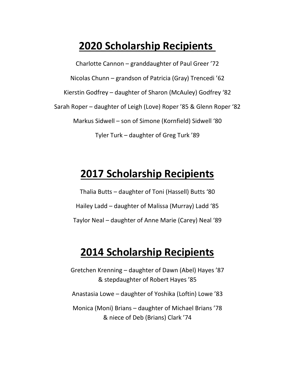## **2020 Scholarship Recipients**

Charlotte Cannon – granddaughter of Paul Greer '72 Nicolas Chunn – grandson of Patricia (Gray) Trencedi '62 Kierstin Godfrey – daughter of Sharon (McAuley) Godfrey '82 Sarah Roper – daughter of Leigh (Love) Roper '85 & Glenn Roper '82 Markus Sidwell – son of Simone (Kornfield) Sidwell '80 Tyler Turk – daughter of Greg Turk '89

## **2017 Scholarship Recipients**

Thalia Butts – daughter of Toni (Hassell) Butts '80 Hailey Ladd – daughter of Malissa (Murray) Ladd '85 Taylor Neal – daughter of Anne Marie (Carey) Neal '89

#### **2014 Scholarship Recipients**

Gretchen Krenning – daughter of Dawn (Abel) Hayes '87 & stepdaughter of Robert Hayes '85

Anastasia Lowe – daughter of Yoshika (Loftin) Lowe '83

Monica (Moni) Brians – daughter of Michael Brians '78 & niece of Deb (Brians) Clark '74